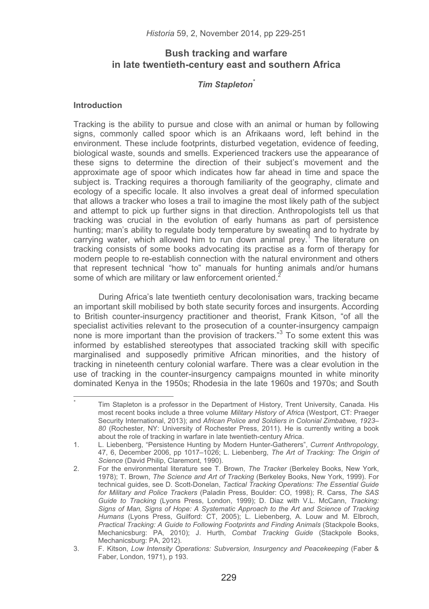# **Bush tracking and warfare in late twentieth-century east and southern Africa**

## *Tim Stapleton\**

#### **Introduction**

-----------------------------------------------------------

Tracking is the ability to pursue and close with an animal or human by following signs, commonly called spoor which is an Afrikaans word, left behind in the environment. These include footprints, disturbed vegetation, evidence of feeding, biological waste, sounds and smells. Experienced trackers use the appearance of these signs to determine the direction of their subject's movement and the approximate age of spoor which indicates how far ahead in time and space the subject is. Tracking requires a thorough familiarity of the geography, climate and ecology of a specific locale. It also involves a great deal of informed speculation that allows a tracker who loses a trail to imagine the most likely path of the subject and attempt to pick up further signs in that direction. Anthropologists tell us that tracking was crucial in the evolution of early humans as part of persistence hunting; man's ability to regulate body temperature by sweating and to hydrate by carrying water, which allowed him to run down animal prey.<sup>1</sup> The literature on tracking consists of some books advocating its practise as a form of therapy for modern people to re-establish connection with the natural environment and others that represent technical "how to" manuals for hunting animals and/or humans some of which are military or law enforcement oriented.<sup>2</sup>

During Africa's late twentieth century decolonisation wars, tracking became an important skill mobilised by both state security forces and insurgents. According to British counter-insurgency practitioner and theorist, Frank Kitson, "of all the specialist activities relevant to the prosecution of a counter-insurgency campaign none is more important than the provision of trackers."<sup>3</sup> To some extent this was informed by established stereotypes that associated tracking skill with specific marginalised and supposedly primitive African minorities, and the history of tracking in nineteenth century colonial warfare. There was a clear evolution in the use of tracking in the counter-insurgency campaigns mounted in white minority dominated Kenya in the 1950s; Rhodesia in the late 1960s and 1970s; and South

<sup>\*</sup> Tim Stapleton is a professor in the Department of History, Trent University, Canada. His most recent books include a three volume *Military History of Africa* (Westport, CT: Praeger Security International, 2013); and *African Police and Soldiers in Colonial Zimbabwe, 1923– 80* (Rochester, NY: University of Rochester Press, 2011). He is currently writing a book about the role of tracking in warfare in late twentieth-century Africa.

<sup>1.</sup> L. Liebenberg, "Persistence Hunting by Modern Hunter-Gatherers", *Current Anthropology*, 47, 6, December 2006, pp 1017–1026; L. Liebenberg, *The Art of Tracking: The Origin of Science* (David Philip, Claremont, 1990).

<sup>2.</sup> For the environmental literature see T. Brown, *The Tracker* (Berkeley Books, New York, 1978); T. Brown, *The Science and Art of Tracking* (Berkeley Books, New York, 1999). For technical guides, see D. Scott-Donelan, *Tactical Tracking Operations: The Essential Guide for Military and Police Trackers* (Paladin Press, Boulder: CO, 1998); R. Carss, *The SAS Guide to Tracking* (Lyons Press, London, 1999); D. Diaz with V.L. McCann, *Tracking: Signs of Man, Signs of Hope: A Systematic Approach to the Art and Science of Tracking Humans* (Lyons Press, Guilford: CT, 2005); L. Liebenberg, A. Louw and M. Elbroch, *Practical Tracking: A Guide to Following Footprints and Finding Animals* (Stackpole Books, Mechanicsburg: PA, 2010); J. Hurth, *Combat Tracking Guide* (Stackpole Books, Mechanicsburg: PA, 2012).

<sup>3.</sup> F. Kitson, *Low Intensity Operations: Subversion, Insurgency and Peacekeeping* (Faber & Faber, London, 1971), p 193.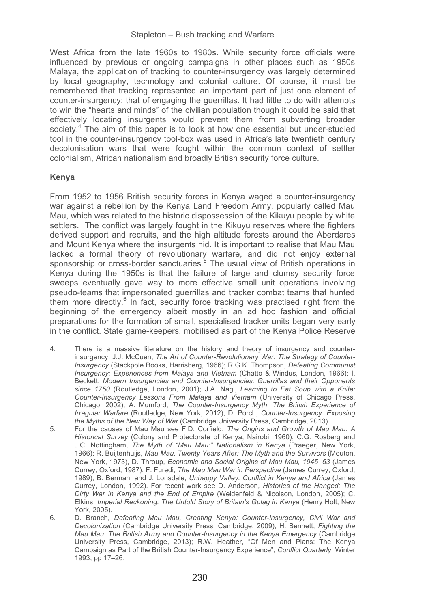West Africa from the late 1960s to 1980s. While security force officials were influenced by previous or ongoing campaigns in other places such as 1950s Malaya, the application of tracking to counter-insurgency was largely determined by local geography, technology and colonial culture. Of course, it must be remembered that tracking represented an important part of just one element of counter-insurgency; that of engaging the guerrillas. It had little to do with attempts to win the "hearts and minds" of the civilian population though it could be said that effectively locating insurgents would prevent them from subverting broader society.<sup>4</sup> The aim of this paper is to look at how one essential but under-studied tool in the counter-insurgency tool-box was used in Africa's late twentieth century decolonisation wars that were fought within the common context of settler colonialism, African nationalism and broadly British security force culture.

## **Kenya**

From 1952 to 1956 British security forces in Kenya waged a counter-insurgency war against a rebellion by the Kenya Land Freedom Army, popularly called Mau Mau, which was related to the historic dispossession of the Kikuyu people by white settlers. The conflict was largely fought in the Kikuyu reserves where the fighters derived support and recruits, and the high altitude forests around the Aberdares and Mount Kenya where the insurgents hid. It is important to realise that Mau Mau lacked a formal theory of revolutionary warfare, and did not enjoy external sponsorship or cross-border sanctuaries.<sup>5</sup> The usual view of British operations in Kenya during the 1950s is that the failure of large and clumsy security force sweeps eventually gave way to more effective small unit operations involving pseudo-teams that impersonated guerrillas and tracker combat teams that hunted them more directly.<sup>6</sup> In fact, security force tracking was practised right from the beginning of the emergency albeit mostly in an ad hoc fashion and official preparations for the formation of small, specialised tracker units began very early in the conflict. State game-keepers, mobilised as part of the Kenya Police Reserve -----------------------------------------------------------

<sup>4.</sup> There is a massive literature on the history and theory of insurgency and counterinsurgency. J.J. McCuen, *The Art of Counter-Revolutionary War: The Strategy of Counter-Insurgency* (Stackpole Books, Harrisberg, 1966); R.G.K. Thompson, *Defeating Communist Insurgency: Experiences from Malaya and Vietnam* (Chatto & Windus, London, 1966); I. Beckett, *Modern Insurgencies and Counter-Insurgencies: Guerrillas and their Opponents since 1750* (Routledge, London, 2001); J.A. Nagl, *Learning to Eat Soup with a Knife: Counter-Insurgency Lessons From Malaya and Vietnam* (University of Chicago Press, Chicago, 2002); A. Mumford, *The Counter-Insurgency Myth: The British Experience of Irregular Warfare* (Routledge, New York, 2012); D. Porch, *Counter-Insurgency: Exposing the Myths of the New Way of War* (Cambridge University Press, Cambridge, 2013).

<sup>5.</sup> For the causes of Mau Mau see F.D. Corfield, *The Origins and Growth of Mau Mau: A Historical Survey* (Colony and Protectorate of Kenya, Nairobi, 1960); C.G. Rosberg and J.C. Nottingham, *The Myth of "Mau Mau:" Nationalism in Kenya* (Praeger, New York, 1966); R. Buijtenhuijs, *Mau Mau. Twenty Years After: The Myth and the Survivors* (Mouton, New York, 1973), D. Throup, *Economic and Social Origins of Mau Mau, 1945*–*53* (James Currey, Oxford, 1987), F. Furedi, *The Mau Mau War in Perspective* (James Currey, Oxford, 1989); B. Berman, and J. Lonsdale, *Unhappy Valley: Conflict in Kenya and Africa* (James Currey, London, 1992). For recent work see D. Anderson, *Histories of the Hanged: The Dirty War in Kenya and the End of Empire* (Weidenfeld & Nicolson, London, 2005); C. Elkins, *Imperial Reckoning: The Untold Story of Britain's Gulag in Kenya* (Henry Holt, New York, 2005).

<sup>6.</sup> D. Branch, *Defeating Mau Mau, Creating Kenya: Counter-Insurgency, Civil War and Decolonization* (Cambridge University Press, Cambridge, 2009); H. Bennett, *Fighting the Mau Mau: The British Army and Counter-Insurgency in the Kenya Emergency* (Cambridge University Press, Cambridge, 2013); R.W. Heather, "Of Men and Plans: The Kenya Campaign as Part of the British Counter-Insurgency Experience", *Conflict Quarterly*, Winter 1993, pp 17–26.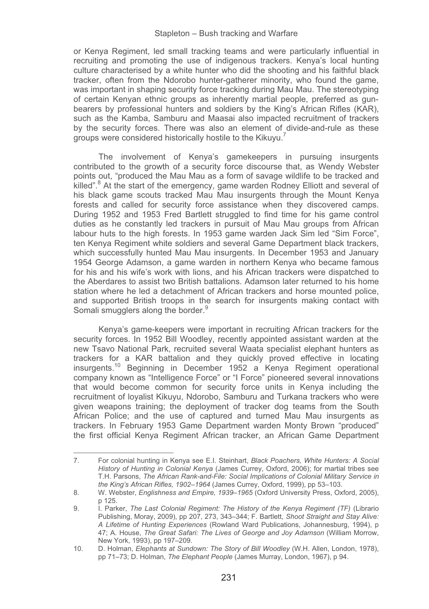or Kenya Regiment, led small tracking teams and were particularly influential in recruiting and promoting the use of indigenous trackers. Kenya's local hunting culture characterised by a white hunter who did the shooting and his faithful black tracker, often from the Ndorobo hunter-gatherer minority, who found the game, was important in shaping security force tracking during Mau Mau. The stereotyping of certain Kenyan ethnic groups as inherently martial people, preferred as gunbearers by professional hunters and soldiers by the King's African Rifles (KAR), such as the Kamba, Samburu and Maasai also impacted recruitment of trackers by the security forces. There was also an element of divide-and-rule as these groups were considered historically hostile to the Kikuyu.<sup>7</sup>

The involvement of Kenya's gamekeepers in pursuing insurgents contributed to the growth of a security force discourse that, as Wendy Webster points out, "produced the Mau Mau as a form of savage wildlife to be tracked and killed".<sup>8</sup> At the start of the emergency, game warden Rodney Elliott and several of his black game scouts tracked Mau Mau insurgents through the Mount Kenya forests and called for security force assistance when they discovered camps. During 1952 and 1953 Fred Bartlett struggled to find time for his game control duties as he constantly led trackers in pursuit of Mau Mau groups from African labour huts to the high forests. In 1953 game warden Jack Sim led "Sim Force", ten Kenya Regiment white soldiers and several Game Department black trackers, which successfully hunted Mau Mau insurgents. In December 1953 and January 1954 George Adamson, a game warden in northern Kenya who became famous for his and his wife's work with lions, and his African trackers were dispatched to the Aberdares to assist two British battalions. Adamson later returned to his home station where he led a detachment of African trackers and horse mounted police, and supported British troops in the search for insurgents making contact with Somali smugglers along the border.<sup>9</sup>

Kenya's game-keepers were important in recruiting African trackers for the security forces. In 1952 Bill Woodley, recently appointed assistant warden at the new Tsavo National Park, recruited several Waata specialist elephant hunters as trackers for a KAR battalion and they quickly proved effective in locating insurgents.10 Beginning in December 1952 a Kenya Regiment operational company known as "Intelligence Force" or "I Force" pioneered several innovations that would become common for security force units in Kenya including the recruitment of loyalist Kikuyu, Ndorobo, Samburu and Turkana trackers who were given weapons training; the deployment of tracker dog teams from the South African Police; and the use of captured and turned Mau Mau insurgents as trackers. In February 1953 Game Department warden Monty Brown "produced" the first official Kenya Regiment African tracker, an African Game Department

<sup>7.</sup> For colonial hunting in Kenya see E.I. Steinhart, *Black Poachers, White Hunters: A Social History of Hunting in Colonial Kenya* (James Currey, Oxford, 2006); for martial tribes see T.H. Parsons, *The African Rank-and-File: Social Implications of Colonial Military Service in the King's African Rifles, 1902*–*1964* (James Currey, Oxford, 1999), pp 53–103.

<sup>8.</sup> W. Webster, *Englishness and Empire, 1939–1965* (Oxford University Press, Oxford, 2005), p 125.

<sup>9.</sup> I. Parker, *The Last Colonial Regiment: The History of the Kenya Regiment (TF)* (Librario Publishing, Moray, 2009), pp 207, 273, 343–344; F. Bartlett, *Shoot Straight and Stay Alive: A Lifetime of Hunting Experiences* (Rowland Ward Publications, Johannesburg, 1994), p 47; A. House, *The Great Safari: The Lives of George and Joy Adamson* (William Morrow, New York, 1993), pp 197–209.

<sup>10.</sup> D. Holman, *Elephants at Sundown: The Story of Bill Woodley* (W.H. Allen, London, 1978), pp 71–73; D. Holman, *The Elephant People* (James Murray, London, 1967), p 94.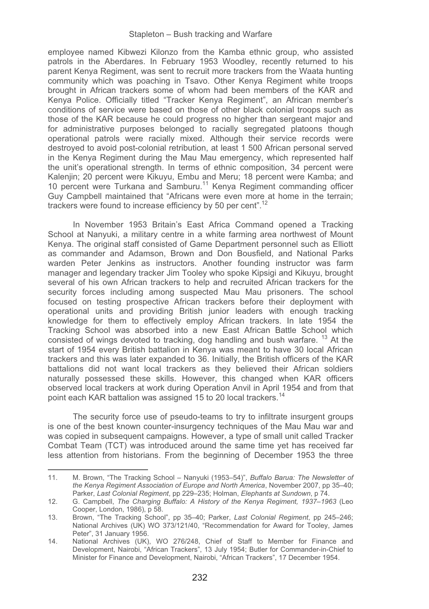employee named Kibwezi Kilonzo from the Kamba ethnic group, who assisted patrols in the Aberdares. In February 1953 Woodley, recently returned to his parent Kenya Regiment, was sent to recruit more trackers from the Waata hunting community which was poaching in Tsavo. Other Kenya Regiment white troops brought in African trackers some of whom had been members of the KAR and Kenya Police. Officially titled "Tracker Kenya Regiment", an African member's conditions of service were based on those of other black colonial troops such as those of the KAR because he could progress no higher than sergeant major and for administrative purposes belonged to racially segregated platoons though operational patrols were racially mixed. Although their service records were destroyed to avoid post-colonial retribution, at least 1 500 African personal served in the Kenya Regiment during the Mau Mau emergency, which represented half the unit's operational strength. In terms of ethnic composition, 34 percent were Kalenjin; 20 percent were Kikuyu, Embu and Meru; 18 percent were Kamba; and 10 percent were Turkana and Samburu.<sup>11</sup> Kenya Regiment commanding officer Guy Campbell maintained that "Africans were even more at home in the terrain; trackers were found to increase efficiency by 50 per cent".<sup>12</sup>

In November 1953 Britain's East Africa Command opened a Tracking School at Nanyuki, a military centre in a white farming area northwest of Mount Kenya. The original staff consisted of Game Department personnel such as Elliott as commander and Adamson, Brown and Don Bousfield, and National Parks warden Peter Jenkins as instructors. Another founding instructor was farm manager and legendary tracker Jim Tooley who spoke Kipsigi and Kikuyu, brought several of his own African trackers to help and recruited African trackers for the security forces including among suspected Mau Mau prisoners. The school focused on testing prospective African trackers before their deployment with operational units and providing British junior leaders with enough tracking knowledge for them to effectively employ African trackers. In late 1954 the Tracking School was absorbed into a new East African Battle School which consisted of wings devoted to tracking, dog handling and bush warfare. 13 At the start of 1954 every British battalion in Kenya was meant to have 30 local African trackers and this was later expanded to 36. Initially, the British officers of the KAR battalions did not want local trackers as they believed their African soldiers naturally possessed these skills. However, this changed when KAR officers observed local trackers at work during Operation Anvil in April 1954 and from that point each KAR battalion was assigned 15 to 20 local trackers.<sup>14</sup>

The security force use of pseudo-teams to try to infiltrate insurgent groups is one of the best known counter-insurgency techniques of the Mau Mau war and was copied in subsequent campaigns. However, a type of small unit called Tracker Combat Team (TCT) was introduced around the same time yet has received far less attention from historians. From the beginning of December 1953 the three

11. M. Brown, "The Tracking School – Nanyuki (1953–54)", *Buffalo Barua: The Newsletter of the Kenya Regiment Association of Europe and North America*, November 2007, pp 35–40; Parker, *Last Colonial Regiment*, pp 229–235; Holman, *Elephants at Sundown*, p 74.

<sup>12.</sup> G. Campbell, *The Charging Buffalo: A History of the Kenya Regiment, 1937*–*1963* (Leo Cooper, London, 1986), p 58.

<sup>13.</sup> Brown, "The Tracking School", pp 35–40; Parker, *Last Colonial Regiment*, pp 245–246; National Archives (UK) WO 373/121/40, "Recommendation for Award for Tooley, James Peter", 31 January 1956.

<sup>14.</sup> National Archives (UK), WO 276/248, Chief of Staff to Member for Finance and Development, Nairobi, "African Trackers", 13 July 1954; Butler for Commander-in-Chief to Minister for Finance and Development, Nairobi, "African Trackers", 17 December 1954.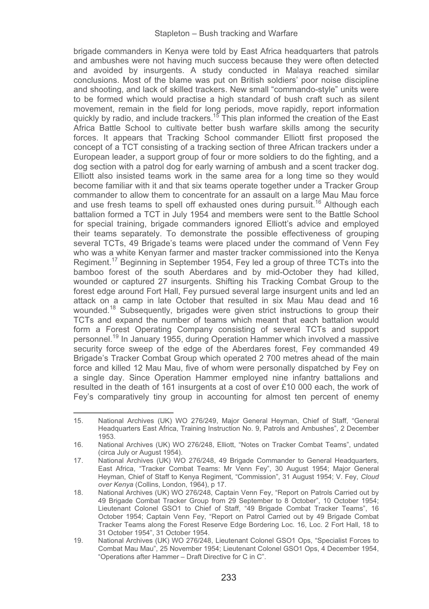brigade commanders in Kenya were told by East Africa headquarters that patrols and ambushes were not having much success because they were often detected and avoided by insurgents. A study conducted in Malaya reached similar conclusions. Most of the blame was put on British soldiers' poor noise discipline and shooting, and lack of skilled trackers. New small "commando-style" units were to be formed which would practise a high standard of bush craft such as silent movement, remain in the field for long periods, move rapidly, report information<br>quickly by radio, and include trackers.<sup>15</sup> This plan informed the creation of the East Africa Battle School to cultivate better bush warfare skills among the security forces. It appears that Tracking School commander Elliott first proposed the concept of a TCT consisting of a tracking section of three African trackers under a European leader, a support group of four or more soldiers to do the fighting, and a dog section with a patrol dog for early warning of ambush and a scent tracker dog. Elliott also insisted teams work in the same area for a long time so they would become familiar with it and that six teams operate together under a Tracker Group commander to allow them to concentrate for an assault on a large Mau Mau force and use fresh teams to spell off exhausted ones during pursuit.<sup>16</sup> Although each battalion formed a TCT in July 1954 and members were sent to the Battle School for special training, brigade commanders ignored Elliott's advice and employed their teams separately. To demonstrate the possible effectiveness of grouping several TCTs, 49 Brigade's teams were placed under the command of Venn Fey who was a white Kenyan farmer and master tracker commissioned into the Kenya Regiment.17 Beginning in September 1954, Fey led a group of three TCTs into the bamboo forest of the south Aberdares and by mid-October they had killed, wounded or captured 27 insurgents. Shifting his Tracking Combat Group to the forest edge around Fort Hall, Fey pursued several large insurgent units and led an attack on a camp in late October that resulted in six Mau Mau dead and 16 wounded.<sup>18</sup> Subsequently, brigades were given strict instructions to group their TCTs and expand the number of teams which meant that each battalion would form a Forest Operating Company consisting of several TCTs and support personnel.19 In January 1955, during Operation Hammer which involved a massive security force sweep of the edge of the Aberdares forest. Fey commanded 49 Brigade's Tracker Combat Group which operated 2 700 metres ahead of the main force and killed 12 Mau Mau, five of whom were personally dispatched by Fey on a single day. Since Operation Hammer employed nine infantry battalions and resulted in the death of 161 insurgents at a cost of over £10 000 each, the work of Fey's comparatively tiny group in accounting for almost ten percent of enemy

15. National Archives (UK) WO 276/249, Major General Heyman, Chief of Staff, "General Headquarters East Africa, Training Instruction No. 9, Patrols and Ambushes", 2 December 1953.

<sup>16.</sup> National Archives (UK) WO 276/248, Elliott, "Notes on Tracker Combat Teams", undated (circa July or August 1954).

<sup>17.</sup> National Archives (UK) WO 276/248, 49 Brigade Commander to General Headquarters, East Africa, "Tracker Combat Teams: Mr Venn Fey", 30 August 1954; Major General Heyman, Chief of Staff to Kenya Regiment, "Commission", 31 August 1954; V. Fey, *Cloud over Kenya* (Collins, London, 1964), p 17.

<sup>18.</sup> National Archives (UK) WO 276/248, Captain Venn Fey, "Report on Patrols Carried out by 49 Brigade Combat Tracker Group from 29 September to 8 October", 10 October 1954; Lieutenant Colonel GSO1 to Chief of Staff, "49 Brigade Combat Tracker Teams", 16 October 1954; Captain Venn Fey, "Report on Patrol Carried out by 49 Brigade Combat Tracker Teams along the Forest Reserve Edge Bordering Loc. 16, Loc. 2 Fort Hall, 18 to 31 October 1954", 31 October 1954.

<sup>19.</sup> National Archives (UK) WO 276/248, Lieutenant Colonel GSO1 Ops, "Specialist Forces to Combat Mau Mau", 25 November 1954; Lieutenant Colonel GSO1 Ops, 4 December 1954, "Operations after Hammer – Draft Directive for C in C".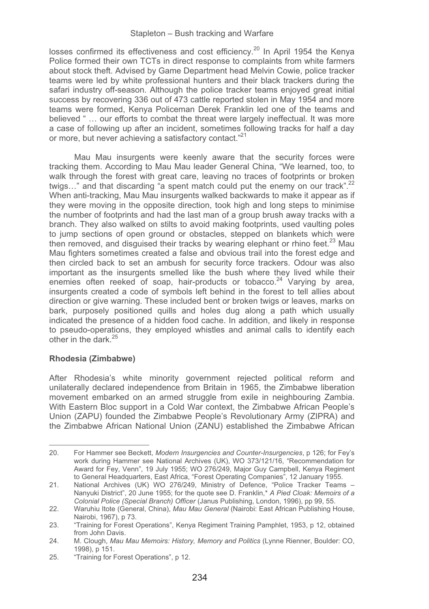losses confirmed its effectiveness and cost efficiency.<sup>20</sup> In April 1954 the Kenya Police formed their own TCTs in direct response to complaints from white farmers about stock theft. Advised by Game Department head Melvin Cowie, police tracker teams were led by white professional hunters and their black trackers during the safari industry off-season. Although the police tracker teams enjoyed great initial success by recovering 336 out of 473 cattle reported stolen in May 1954 and more teams were formed, Kenya Policeman Derek Franklin led one of the teams and believed " … our efforts to combat the threat were largely ineffectual. It was more a case of following up after an incident, sometimes following tracks for half a day or more, but never achieving a satisfactory contact."<sup>21</sup>

Mau Mau insurgents were keenly aware that the security forces were tracking them. According to Mau Mau leader General China, "We learned, too, to walk through the forest with great care, leaving no traces of footprints or broken twigs..." and that discarding "a spent match could put the enemy on our track".<sup>22</sup> When anti-tracking, Mau Mau insurgents walked backwards to make it appear as if they were moving in the opposite direction, took high and long steps to minimise the number of footprints and had the last man of a group brush away tracks with a branch. They also walked on stilts to avoid making footprints, used vaulting poles to jump sections of open ground or obstacles, stepped on blankets which were then removed, and disquised their tracks by wearing elephant or rhino feet.<sup>23</sup> Mau Mau fighters sometimes created a false and obvious trail into the forest edge and then circled back to set an ambush for security force trackers. Odour was also important as the insurgents smelled like the bush where they lived while their enemies often reeked of soap, hair-products or tobacco.<sup>24</sup> Varying by area, insurgents created a code of symbols left behind in the forest to tell allies about direction or give warning. These included bent or broken twigs or leaves, marks on bark, purposely positioned quills and holes dug along a path which usually indicated the presence of a hidden food cache. In addition, and likely in response to pseudo-operations, they employed whistles and animal calls to identify each other in the dark.25

### **Rhodesia (Zimbabwe)**

-----------------------------------------------------------

After Rhodesia's white minority government rejected political reform and unilaterally declared independence from Britain in 1965, the Zimbabwe liberation movement embarked on an armed struggle from exile in neighbouring Zambia. With Eastern Bloc support in a Cold War context, the Zimbabwe African People's Union (ZAPU) founded the Zimbabwe People's Revolutionary Army (ZIPRA) and the Zimbabwe African National Union (ZANU) established the Zimbabwe African

<sup>20.</sup> For Hammer see Beckett, *Modern Insurgencies and Counter-Insurgencies*, p 126; for Fey's work during Hammer see National Archives (UK), WO 373/121/16, "Recommendation for Award for Fey, Venn", 19 July 1955; WO 276/249, Major Guy Campbell, Kenya Regiment to General Headquarters, East Africa, "Forest Operating Companies", 12 January 1955.

<sup>21.</sup> National Archives (UK) WO 276/249, Ministry of Defence, "Police Tracker Teams – Nanyuki District", 20 June 1955; for the quote see D. Franklin,\* *A Pied Cloak: Memoirs of a Colonial Police (Special Branch) Officer* (Janus Publishing, London, 1996), pp 99, 55.

<sup>22.</sup> Waruhiu Itote (General, China), *Mau Mau General* (Nairobi: East African Publishing House, Nairobi, 1967), p 73.

<sup>23. &</sup>quot;Training for Forest Operations", Kenya Regiment Training Pamphlet, 1953, p 12, obtained from John Davis.

<sup>24.</sup> M. Clough, *Mau Mau Memoirs: History, Memory and Politics* (Lynne Rienner, Boulder: CO, 1998), p 151.

<sup>25.</sup> **"Training for Forest Operations"** p 12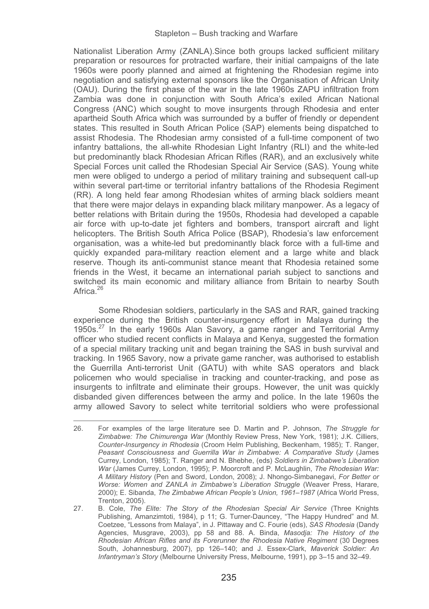Nationalist Liberation Army (ZANLA).Since both groups lacked sufficient military preparation or resources for protracted warfare, their initial campaigns of the late 1960s were poorly planned and aimed at frightening the Rhodesian regime into negotiation and satisfying external sponsors like the Organisation of African Unity (OAU). During the first phase of the war in the late 1960s ZAPU infiltration from Zambia was done in conjunction with South Africa's exiled African National Congress (ANC) which sought to move insurgents through Rhodesia and enter apartheid South Africa which was surrounded by a buffer of friendly or dependent states. This resulted in South African Police (SAP) elements being dispatched to assist Rhodesia. The Rhodesian army consisted of a full-time component of two infantry battalions, the all-white Rhodesian Light Infantry (RLI) and the white-led but predominantly black Rhodesian African Rifles (RAR), and an exclusively white Special Forces unit called the Rhodesian Special Air Service (SAS). Young white men were obliged to undergo a period of military training and subsequent call-up within several part-time or territorial infantry battalions of the Rhodesia Regiment (RR). A long held fear among Rhodesian whites of arming black soldiers meant that there were major delays in expanding black military manpower. As a legacy of better relations with Britain during the 1950s, Rhodesia had developed a capable air force with up-to-date jet fighters and bombers, transport aircraft and light helicopters. The British South Africa Police (BSAP), Rhodesia's law enforcement organisation, was a white-led but predominantly black force with a full-time and quickly expanded para-military reaction element and a large white and black reserve. Though its anti-communist stance meant that Rhodesia retained some friends in the West, it became an international pariah subject to sanctions and switched its main economic and military alliance from Britain to nearby South Africa<sup>26</sup>

Some Rhodesian soldiers, particularly in the SAS and RAR, gained tracking experience during the British counter-insurgency effort in Malaya during the 1950s.<sup>27</sup> In the early 1960s Alan Savory, a game ranger and Territorial Army officer who studied recent conflicts in Malaya and Kenya, suggested the formation of a special military tracking unit and began training the SAS in bush survival and tracking. In 1965 Savory, now a private game rancher, was authorised to establish the Guerrilla Anti-terrorist Unit (GATU) with white SAS operators and black policemen who would specialise in tracking and counter-tracking, and pose as insurgents to infiltrate and eliminate their groups. However, the unit was quickly disbanded given differences between the army and police. In the late 1960s the army allowed Savory to select white territorial soldiers who were professional

<sup>26.</sup> For examples of the large literature see D. Martin and P. Johnson, *The Struggle for Zimbabwe: The Chimurenga War* (Monthly Review Press, New York, 1981); J.K. Cilliers, *Counter-Insurgency in Rhodesia* (Croom Helm Publishing, Beckenham, 1985); T. Ranger, *Peasant Consciousness and Guerrilla War in Zimbabwe: A Comparative Study* (James Currey, London, 1985); T. Ranger and N. Bhebhe, (eds) *Soldiers in Zimbabwe's Liberation War* (James Currey, London, 1995); P. Moorcroft and P. McLaughlin, *The Rhodesian War: A Military History* (Pen and Sword, London, 2008); J. Nhongo-Simbanegavi, *For Better or Worse: Women and ZANLA in Zimbabwe's Liberation Struggle* (Weaver Press, Harare, 2000); E. Sibanda, *The Zimbabwe African People's Union, 1961–1987* (Africa World Press, Trenton, 2005).

<sup>27.</sup> B. Cole, *The Elite: The Story of the Rhodesian Special Air Service* (Three Knights Publishing, Amanzimtoti, 1984), p 11; G. Turner-Dauncey, "The Happy Hundred" and M. Coetzee, "Lessons from Malaya", in J. Pittaway and C. Fourie (eds), *SAS Rhodesia* (Dandy Agencies, Musgrave, 2003), pp 58 and 88. A. Binda, *Masodja: The History of the Rhodesian African Rifles and its Forerunner the Rhodesia Native Regiment* (30 Degrees South, Johannesburg, 2007), pp 126–140; and J. Essex-Clark, *Maverick Soldier: An Infantryman's Story* (Melbourne University Press, Melbourne, 1991), pp 3–15 and 32–49.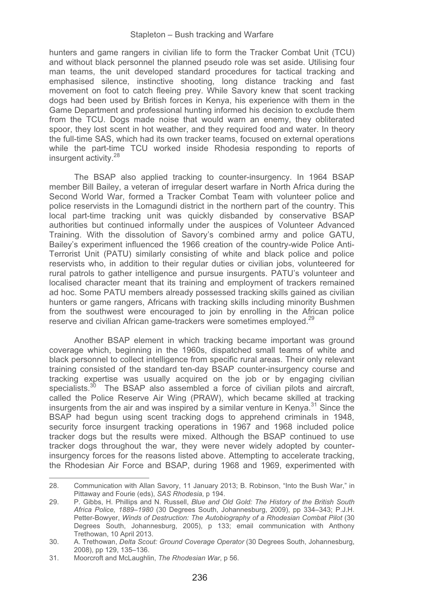hunters and game rangers in civilian life to form the Tracker Combat Unit (TCU) and without black personnel the planned pseudo role was set aside. Utilising four man teams, the unit developed standard procedures for tactical tracking and emphasised silence, instinctive shooting, long distance tracking and fast movement on foot to catch fleeing prey. While Savory knew that scent tracking dogs had been used by British forces in Kenya, his experience with them in the Game Department and professional hunting informed his decision to exclude them from the TCU. Dogs made noise that would warn an enemy, they obliterated spoor, they lost scent in hot weather, and they required food and water. In theory the full-time SAS, which had its own tracker teams, focused on external operations while the part-time TCU worked inside Rhodesia responding to reports of insurgent activity.<sup>28</sup>

The BSAP also applied tracking to counter-insurgency. In 1964 BSAP member Bill Bailey, a veteran of irregular desert warfare in North Africa during the Second World War, formed a Tracker Combat Team with volunteer police and police reservists in the Lomagundi district in the northern part of the country. This local part-time tracking unit was quickly disbanded by conservative BSAP authorities but continued informally under the auspices of Volunteer Advanced Training. With the dissolution of Savory's combined army and police GATU, Bailey's experiment influenced the 1966 creation of the country-wide Police Anti-Terrorist Unit (PATU) similarly consisting of white and black police and police reservists who, in addition to their regular duties or civilian jobs, volunteered for rural patrols to gather intelligence and pursue insurgents. PATU's volunteer and localised character meant that its training and employment of trackers remained ad hoc. Some PATU members already possessed tracking skills gained as civilian hunters or game rangers, Africans with tracking skills including minority Bushmen from the southwest were encouraged to join by enrolling in the African police reserve and civilian African game-trackers were sometimes employed.<sup>29</sup>

Another BSAP element in which tracking became important was ground coverage which, beginning in the 1960s, dispatched small teams of white and black personnel to collect intelligence from specific rural areas. Their only relevant training consisted of the standard ten-day BSAP counter-insurgency course and tracking expertise was usually acquired on the job or by engaging civilian specialists. $30$  The BSAP also assembled a force of civilian pilots and aircraft, called the Police Reserve Air Wing (PRAW), which became skilled at tracking insurgents from the air and was inspired by a similar venture in Kenya.<sup>31</sup> Since the BSAP had begun using scent tracking dogs to apprehend criminals in 1948, security force insurgent tracking operations in 1967 and 1968 included police tracker dogs but the results were mixed. Although the BSAP continued to use tracker dogs throughout the war, they were never widely adopted by counterinsurgency forces for the reasons listed above. Attempting to accelerate tracking, the Rhodesian Air Force and BSAP, during 1968 and 1969, experimented with

<sup>28.</sup> Communication with Allan Savory, 11 January 2013; B. Robinson, "Into the Bush War," in Pittaway and Fourie (eds), *SAS Rhodesia*, p 194.

<sup>29.</sup> P. Gibbs, H. Phillips and N. Russell, *Blue and Old Gold: The History of the British South Africa Police, 1889*–*1980* (30 Degrees South, Johannesburg, 2009), pp 334–343; P.J.H. Petter-Bowyer, *Winds of Destruction: The Autobiography of a Rhodesian Combat Pilot* (30 Degrees South, Johannesburg, 2005), p 133; email communication with Anthony Trethowan, 10 April 2013.

<sup>30.</sup> A. Trethowan, *Delta Scout: Ground Coverage Operator* (30 Degrees South, Johannesburg, 2008), pp 129, 135–136.

<sup>31.</sup> Moorcroft and McLaughlin, *The Rhodesian War*, p 56.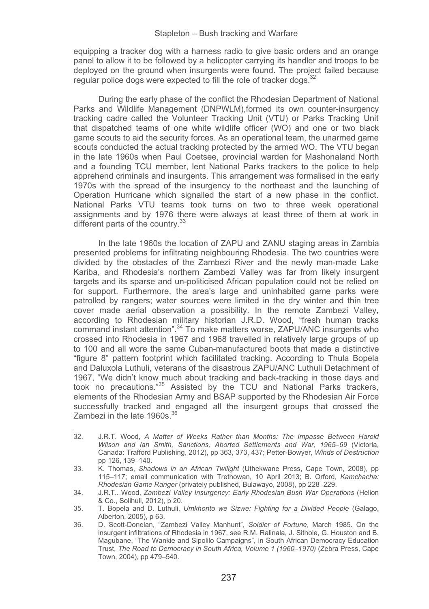equipping a tracker dog with a harness radio to give basic orders and an orange panel to allow it to be followed by a helicopter carrying its handler and troops to be deployed on the ground when insurgents were found. The project failed because regular police dogs were expected to fill the role of tracker dogs.

During the early phase of the conflict the Rhodesian Department of National Parks and Wildlife Management (DNPWLM),formed its own counter-insurgency tracking cadre called the Volunteer Tracking Unit (VTU) or Parks Tracking Unit that dispatched teams of one white wildlife officer (WO) and one or two black game scouts to aid the security forces. As an operational team, the unarmed game scouts conducted the actual tracking protected by the armed WO. The VTU began in the late 1960s when Paul Coetsee, provincial warden for Mashonaland North and a founding TCU member, lent National Parks trackers to the police to help apprehend criminals and insurgents. This arrangement was formalised in the early 1970s with the spread of the insurgency to the northeast and the launching of Operation Hurricane which signalled the start of a new phase in the conflict. National Parks VTU teams took turns on two to three week operational assignments and by 1976 there were always at least three of them at work in different parts of the country.<sup>33</sup>

In the late 1960s the location of ZAPU and ZANU staging areas in Zambia presented problems for infiltrating neighbouring Rhodesia. The two countries were divided by the obstacles of the Zambezi River and the newly man-made Lake Kariba, and Rhodesia's northern Zambezi Valley was far from likely insurgent targets and its sparse and un-politicised African population could not be relied on for support. Furthermore, the area's large and uninhabited game parks were patrolled by rangers; water sources were limited in the dry winter and thin tree cover made aerial observation a possibility. In the remote Zambezi Valley, according to Rhodesian military historian J.R.D. Wood, "fresh human tracks command instant attention".<sup>34</sup> To make matters worse, ZAPU/ANC insurgents who crossed into Rhodesia in 1967 and 1968 travelled in relatively large groups of up to 100 and all wore the same Cuban-manufactured boots that made a distinctive "figure 8" pattern footprint which facilitated tracking. According to Thula Bopela and Daluxola Luthuli, veterans of the disastrous ZAPU/ANC Luthuli Detachment of 1967, "We didn't know much about tracking and back-tracking in those days and took no precautions."35 Assisted by the TCU and National Parks trackers, elements of the Rhodesian Army and BSAP supported by the Rhodesian Air Force successfully tracked and engaged all the insurgent groups that crossed the Zambezi in the late 1960s.<sup>36</sup>

<sup>32.</sup> J.R.T. Wood, *A Matter of Weeks Rather than Months: The Impasse Between Harold Wilson and Ian Smith, Sanctions, Aborted Settlements and War, 1965–69* (Victoria, Canada: Trafford Publishing, 2012), pp 363, 373, 437; Petter-Bowyer, *Winds of Destruction* pp 126, 139–140.

<sup>33.</sup> K. Thomas, *Shadows in an African Twilight* (Uthekwane Press, Cape Town, 2008), pp 115–117; email communication with Trethowan, 10 April 2013; B. Orford, *Kamchacha: Rhodesian Game Ranger* (privately published, Bulawayo, 2008), pp 228–229.

<sup>34.</sup> J.R.T.. Wood, *Zambezi Valley Insurgency: Early Rhodesian Bush War Operations* (Helion & Co., Solihull, 2012), p 20.

<sup>35.</sup> T. Bopela and D. Luthuli, *Umkhonto we Sizwe: Fighting for a Divided People* (Galago, Alberton, 2005), p 63.

<sup>36.</sup> D. Scott-Donelan, "Zambezi Valley Manhunt", *Soldier of Fortune*, March 1985. On the insurgent infiltrations of Rhodesia in 1967, see R.M. Ralinala, J. Sithole, G. Houston and B. Magubane, "The Wankie and Sipolilo Campaigns", in South African Democracy Education Trust, *The Road to Democracy in South Africa, Volume 1 (1960*–*1970)* (Zebra Press, Cape Town, 2004), pp 479–540.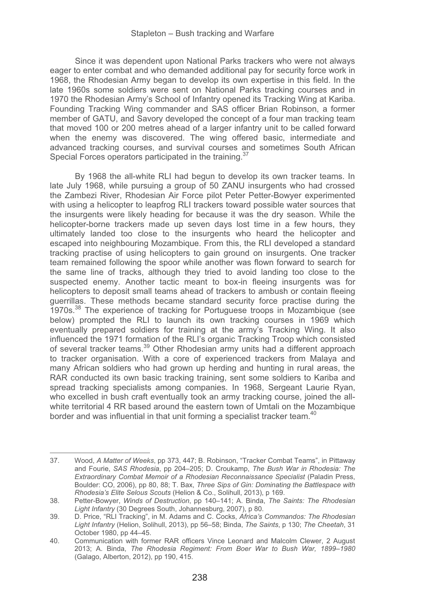Since it was dependent upon National Parks trackers who were not always eager to enter combat and who demanded additional pay for security force work in 1968, the Rhodesian Army began to develop its own expertise in this field. In the late 1960s some soldiers were sent on National Parks tracking courses and in 1970 the Rhodesian Army's School of Infantry opened its Tracking Wing at Kariba. Founding Tracking Wing commander and SAS officer Brian Robinson, a former member of GATU, and Savory developed the concept of a four man tracking team that moved 100 or 200 metres ahead of a larger infantry unit to be called forward when the enemy was discovered. The wing offered basic, intermediate and advanced tracking courses, and survival courses and sometimes South African Special Forces operators participated in the training.<sup>37</sup>

By 1968 the all-white RLI had begun to develop its own tracker teams. In late July 1968, while pursuing a group of 50 ZANU insurgents who had crossed the Zambezi River, Rhodesian Air Force pilot Peter Petter-Bowyer experimented with using a helicopter to leapfrog RLI trackers toward possible water sources that the insurgents were likely heading for because it was the dry season. While the helicopter-borne trackers made up seven days lost time in a few hours, they ultimately landed too close to the insurgents who heard the helicopter and escaped into neighbouring Mozambique. From this, the RLI developed a standard tracking practise of using helicopters to gain ground on insurgents. One tracker team remained following the spoor while another was flown forward to search for the same line of tracks, although they tried to avoid landing too close to the suspected enemy. Another tactic meant to box-in fleeing insurgents was for helicopters to deposit small teams ahead of trackers to ambush or contain fleeing guerrillas. These methods became standard security force practise during the 1970s.38 The experience of tracking for Portuguese troops in Mozambique (see below) prompted the RLI to launch its own tracking courses in 1969 which eventually prepared soldiers for training at the army's Tracking Wing. It also influenced the 1971 formation of the RLI's organic Tracking Troop which consisted of several tracker teams.39 Other Rhodesian army units had a different approach to tracker organisation. With a core of experienced trackers from Malaya and many African soldiers who had grown up herding and hunting in rural areas, the RAR conducted its own basic tracking training, sent some soldiers to Kariba and spread tracking specialists among companies. In 1968, Sergeant Laurie Ryan, who excelled in bush craft eventually took an army tracking course, joined the allwhite territorial 4 RR based around the eastern town of Umtali on the Mozambique border and was influential in that unit forming a specialist tracker team.<sup>40</sup>

<sup>37.</sup> Wood, *A Matter of Weeks*, pp 373, 447; B. Robinson, "Tracker Combat Teams", in Pittaway and Fourie, *SAS Rhodesia*, pp 204–205; D. Croukamp, *The Bush War in Rhodesia: The Extraordinary Combat Memoir of a Rhodesian Reconnaissance Specialist* (Paladin Press, Boulder: CO, 2006), pp 80, 88; T. Bax, *Three Sips of Gin: Dominating the Battlespace with Rhodesia's Elite Selous Scouts* (Helion & Co., Solihull, 2013), p 169.

<sup>38.</sup> Petter-Bowyer, *Winds of Destruction*, pp 140–141; A. Binda, *The Saints: The Rhodesian Light Infantry* (30 Degrees South, Johannesburg, 2007), p 80.

<sup>39.</sup> D. Price, "RLI Tracking", in M. Adams and C. Cocks, *Africa's Commandos: The Rhodesian Light Infantry* (Helion, Solihull, 2013), pp 56–58; Binda, *The Saints*, p 130; *The Cheetah*, 31 October 1980, pp 44–45.

<sup>40.</sup> Communication with former RAR officers Vince Leonard and Malcolm Clewer, 2 August 2013; A. Binda, *The Rhodesia Regiment: From Boer War to Bush War, 1899*–*1980* (Galago, Alberton, 2012), pp 190, 415.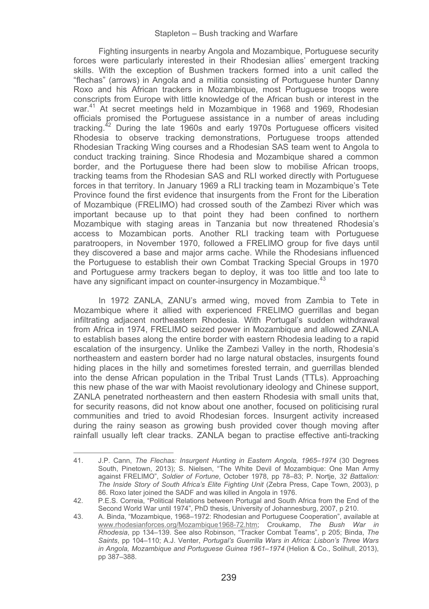Fighting insurgents in nearby Angola and Mozambique, Portuguese security forces were particularly interested in their Rhodesian allies' emergent tracking skills. With the exception of Bushmen trackers formed into a unit called the "flechas" (arrows) in Angola and a militia consisting of Portuguese hunter Danny Roxo and his African trackers in Mozambique, most Portuguese troops were conscripts from Europe with little knowledge of the African bush or interest in the war.41 At secret meetings held in Mozambique in 1968 and 1969, Rhodesian officials promised the Portuguese assistance in a number of areas including tracking.42 During the late 1960s and early 1970s Portuguese officers visited Rhodesia to observe tracking demonstrations, Portuguese troops attended Rhodesian Tracking Wing courses and a Rhodesian SAS team went to Angola to conduct tracking training. Since Rhodesia and Mozambique shared a common border, and the Portuguese there had been slow to mobilise African troops, tracking teams from the Rhodesian SAS and RLI worked directly with Portuguese forces in that territory. In January 1969 a RLI tracking team in Mozambique's Tete Province found the first evidence that insurgents from the Front for the Liberation of Mozambique (FRELIMO) had crossed south of the Zambezi River which was important because up to that point they had been confined to northern Mozambique with staging areas in Tanzania but now threatened Rhodesia's access to Mozambican ports. Another RLI tracking team with Portuguese paratroopers, in November 1970, followed a FRELIMO group for five days until they discovered a base and major arms cache. While the Rhodesians influenced the Portuguese to establish their own Combat Tracking Special Groups in 1970 and Portuguese army trackers began to deploy, it was too little and too late to have any significant impact on counter-insurgency in Mozambique.<sup>43</sup>

In 1972 ZANLA, ZANU's armed wing, moved from Zambia to Tete in Mozambique where it allied with experienced FRELIMO guerrillas and began infiltrating adjacent northeastern Rhodesia. With Portugal's sudden withdrawal from Africa in 1974, FRELIMO seized power in Mozambique and allowed ZANLA to establish bases along the entire border with eastern Rhodesia leading to a rapid escalation of the insurgency. Unlike the Zambezi Valley in the north, Rhodesia's northeastern and eastern border had no large natural obstacles, insurgents found hiding places in the hilly and sometimes forested terrain, and guerrillas blended into the dense African population in the Tribal Trust Lands (TTLs). Approaching this new phase of the war with Maoist revolutionary ideology and Chinese support, ZANLA penetrated northeastern and then eastern Rhodesia with small units that, for security reasons, did not know about one another, focused on politicising rural communities and tried to avoid Rhodesian forces. Insurgent activity increased during the rainy season as growing bush provided cover though moving after rainfall usually left clear tracks. ZANLA began to practise effective anti-tracking

<sup>41.</sup> J.P. Cann, *The Flechas: Insurgent Hunting in Eastern Angola, 1965*–*1974* (30 Degrees South, Pinetown, 2013); S. Nielsen, "The White Devil of Mozambique: One Man Army against FRELIMO", *Soldier of Fortune*, October 1978, pp 78–83; P. Nortje, *32 Battalion: The Inside Story of South Africa's Elite Fighting Unit* (Zebra Press, Cape Town, 2003), p 86. Roxo later joined the SADF and was killed in Angola in 1976.

<sup>42.</sup> P.E.S. Correia, "Political Relations between Portugal and South Africa from the End of the Second World War until 1974", PhD thesis, University of Johannesburg, 2007, p 210.

<sup>43.</sup> A. Binda, "Mozambique, 1968–1972: Rhodesian and Portuguese Cooperation", available at www.rhodesianforces.org/Mozambique1968-72.htm; Croukamp, *The Bush War in Rhodesia*, pp 134–139. See also Robinson, "Tracker Combat Teams", p 205; Binda, *The Saints*, pp 104–110; A.J. Venter, *Portugal's Guerrilla Wars in Africa: Lisbon's Three Wars in Angola, Mozambique and Portuguese Guinea 1961*–*1974* (Helion & Co., Solihull, 2013), pp 387–388.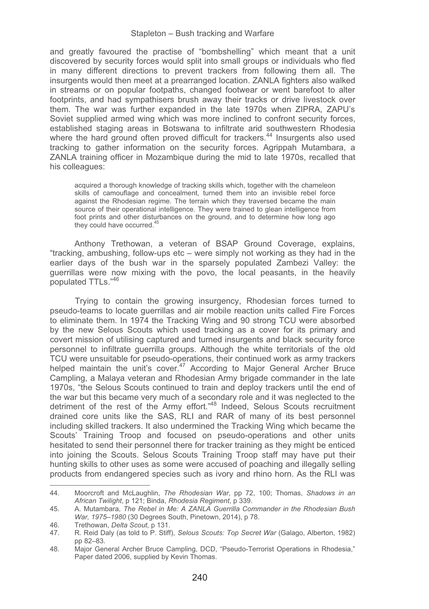and greatly favoured the practise of "bombshelling" which meant that a unit discovered by security forces would split into small groups or individuals who fled in many different directions to prevent trackers from following them all. The insurgents would then meet at a prearranged location. ZANLA fighters also walked in streams or on popular footpaths, changed footwear or went barefoot to alter footprints, and had sympathisers brush away their tracks or drive livestock over them. The war was further expanded in the late 1970s when ZIPRA, ZAPU's Soviet supplied armed wing which was more inclined to confront security forces, established staging areas in Botswana to infiltrate arid southwestern Rhodesia where the hard ground often proved difficult for trackers.<sup>44</sup> Insurgents also used tracking to gather information on the security forces. Agrippah Mutambara, a ZANLA training officer in Mozambique during the mid to late 1970s, recalled that his colleagues:

acquired a thorough knowledge of tracking skills which, together with the chameleon skills of camouflage and concealment, turned them into an invisible rebel force against the Rhodesian regime. The terrain which they traversed became the main source of their operational intelligence. They were trained to glean intelligence from foot prints and other disturbances on the ground, and to determine how long ago they could have occurred.<sup>45</sup>

Anthony Trethowan, a veteran of BSAP Ground Coverage, explains, "tracking, ambushing, follow-ups etc – were simply not working as they had in the earlier days of the bush war in the sparsely populated Zambezi Valley: the guerrillas were now mixing with the povo, the local peasants, in the heavily populated TTLs."46

Trying to contain the growing insurgency, Rhodesian forces turned to pseudo-teams to locate guerrillas and air mobile reaction units called Fire Forces to eliminate them. In 1974 the Tracking Wing and 90 strong TCU were absorbed by the new Selous Scouts which used tracking as a cover for its primary and covert mission of utilising captured and turned insurgents and black security force personnel to infiltrate guerrilla groups. Although the white territorials of the old TCU were unsuitable for pseudo-operations, their continued work as army trackers helped maintain the unit's cover.<sup>47</sup> According to Major General Archer Bruce Campling, a Malaya veteran and Rhodesian Army brigade commander in the late 1970s, "the Selous Scouts continued to train and deploy trackers until the end of the war but this became very much of a secondary role and it was neglected to the detriment of the rest of the Army effort."48 Indeed, Selous Scouts recruitment drained core units like the SAS, RLI and RAR of many of its best personnel including skilled trackers. It also undermined the Tracking Wing which became the Scouts' Training Troop and focused on pseudo-operations and other units hesitated to send their personnel there for tracker training as they might be enticed into joining the Scouts. Selous Scouts Training Troop staff may have put their hunting skills to other uses as some were accused of poaching and illegally selling products from endangered species such as ivory and rhino horn. As the RLI was

<sup>44.</sup> Moorcroft and McLaughlin, *The Rhodesian War*, pp 72, 100; Thomas, *Shadows in an African Twilight*, p 121; Binda, *Rhodesia Regiment*, p 339.

<sup>45.</sup> A. Mutambara, *The Rebel in Me: A ZANLA Guerrilla Commander in the Rhodesian Bush War, 1975*–*1980* (30 Degrees South, Pinetown, 2014), p 78.

<sup>46.</sup> Trethowan, *Delta Scout*, p 131.

<sup>47.</sup> R. Reid Daly (as told to P. Stiff), *Selous Scouts: Top Secret War* (Galago, Alberton, 1982) pp 82–83.

<sup>48.</sup> Major General Archer Bruce Campling, DCD, "Pseudo-Terrorist Operations in Rhodesia," Paper dated 2006, supplied by Kevin Thomas.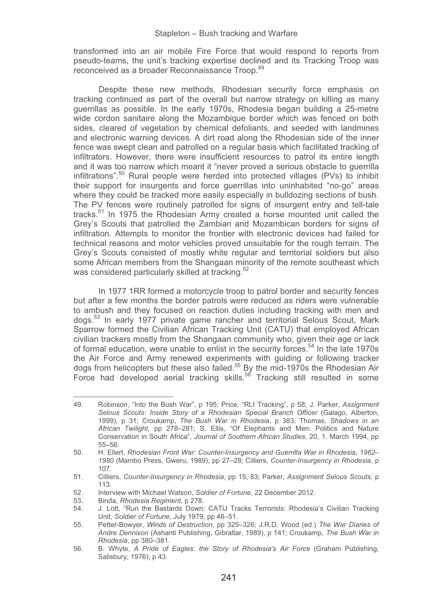transformed into an air mobile Fire Force that would respond to reports from pseudo-teams, the unit's tracking expertise declined and its Tracking Troop was reconceived as a broader Reconnaissance Troop.49

Despite these new methods, Rhodesian security force emphasis on tracking continued as part of the overall but narrow strategy on killing as many guerrillas as possible. In the early 1970s, Rhodesia began building a 25-metre wide cordon sanitaire along the Mozambique border which was fenced on both sides, cleared of vegetation by chemical defoliants, and seeded with landmines and electronic warning devices. A dirt road along the Rhodesian side of the inner fence was swept clean and patrolled on a regular basis which facilitated tracking of infiltrators. However, there were insufficient resources to patrol its entire length and it was too narrow which meant it "never proved a serious obstacle to guerrilla infiltrations".50 Rural people were herded into protected villages (PVs) to inhibit their support for insurgents and force guerrillas into uninhabited "no-go" areas where they could be tracked more easily especially in bulldozing sections of bush. The PV fences were routinely patrolled for signs of insurgent entry and tell-tale tracks.51 In 1975 the Rhodesian Army created a horse mounted unit called the Grey's Scouts that patrolled the Zambian and Mozambican borders for signs of infiltration. Attempts to monitor the frontier with electronic devices had failed for technical reasons and motor vehicles proved unsuitable for the rough terrain. The Grey's Scouts consisted of mostly white regular and territorial soldiers but also some African members from the Shangaan minority of the remote southeast which was considered particularly skilled at tracking.<sup>52</sup>

In 1977 1RR formed a motorcycle troop to patrol border and security fences but after a few months the border patrols were reduced as riders were vulnerable to ambush and they focused on reaction duties including tracking with men and dogs.53 In early 1977 private game rancher and territorial Selous Scout, Mark Sparrow formed the Civilian African Tracking Unit (CATU) that employed African civilian trackers mostly from the Shangaan community who, given their age or lack of formal education, were unable to enlist in the security forces.<sup>54</sup> In the late 1970s the Air Force and Army renewed experiments with guiding or following tracker dogs from helicopters but these also failed.<sup>55</sup> By the mid-1970s the Rhodesian Air Force had developed aerial tracking skills.<sup>56</sup> Tracking still resulted in some

49. Robinson, "Into the Bush War", p 195; Price, "RLI Tracking", p 58; J. Parker, *Assignment Selous Scouts: Inside Story of a Rhodesian Special Branch Officer* (Galago, Alberton, 1999), p 31; Croukamp, *The Bush War in Rhodesia*, p 383; Thomas, *Shadows in an African Twilight*, pp 278–281; S. Ellis, "Of Elephants and Men: Politics and Nature Conservation in South Africa", *Journal of Southern African Studies*, 20, 1, March 1994, pp 55–56.

<sup>50.</sup> H. Ellert, *Rhodesian Front War: Counter-Insurgency and Guerrilla War in Rhodesia, 1962*– *1980* (Mambo Press, Gweru, 1989), pp 27–28; Cilliers, *Counter-Insurgency in Rhodesia*, p 107.

<sup>51.</sup> Cilliers, *Counter-Insurgency in Rhodesia*, pp 15, 83; Parker, *Assignment Selous Scouts,* p 113.

<sup>52.</sup> Interview with Michael Watson, *Soldier of Fortune*, 22 December 2012.

<sup>53.</sup> Binda, *Rhodesia Regiment*, p 278.

<sup>54.</sup> J. Lott, "Run the Bastards Down: CATU Tracks Terrorists: Rhodesia's Civilian Tracking Unit, *Soldier of Fortune*, July 1979, pp 46–51.

<sup>55.</sup> Petter-Bowyer, *Winds of Destruction*, pp 325–326; J.R.D. Wood (ed.) *The War Diaries of Andre Dennison* (Ashanti Publishing, Gibraltar, 1989), p 141; Croukamp, *The Bush War in Rhodesia*, pp 380–381.

<sup>56.</sup> B. Whyte, *A Pride of Eagles: the Story of Rhodesia's Air Force* (Graham Publishing, Salisbury, 1976), p 43.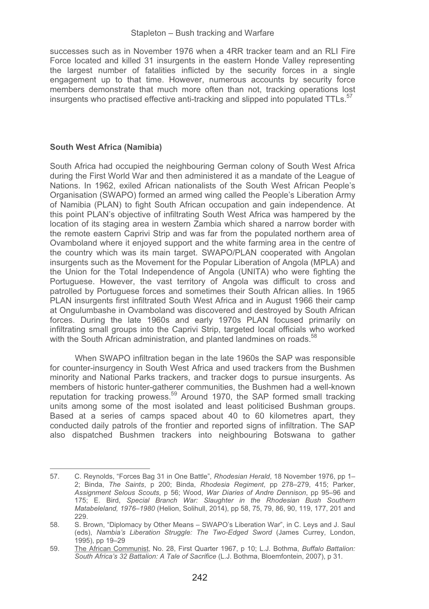successes such as in November 1976 when a 4RR tracker team and an RLI Fire Force located and killed 31 insurgents in the eastern Honde Valley representing the largest number of fatalities inflicted by the security forces in a single engagement up to that time. However, numerous accounts by security force members demonstrate that much more often than not, tracking operations lost insurgents who practised effective anti-tracking and slipped into populated TTLs.<sup>57</sup>

## **South West Africa (Namibia)**

-----------------------------------------------------------

South Africa had occupied the neighbouring German colony of South West Africa during the First World War and then administered it as a mandate of the League of Nations. In 1962, exiled African nationalists of the South West African People's Organisation (SWAPO) formed an armed wing called the People's Liberation Army of Namibia (PLAN) to fight South African occupation and gain independence. At this point PLAN's objective of infiltrating South West Africa was hampered by the location of its staging area in western Zambia which shared a narrow border with the remote eastern Caprivi Strip and was far from the populated northern area of Ovamboland where it enjoyed support and the white farming area in the centre of the country which was its main target. SWAPO/PLAN cooperated with Angolan insurgents such as the Movement for the Popular Liberation of Angola (MPLA) and the Union for the Total Independence of Angola (UNITA) who were fighting the Portuguese. However, the vast territory of Angola was difficult to cross and patrolled by Portuguese forces and sometimes their South African allies. In 1965 PLAN insurgents first infiltrated South West Africa and in August 1966 their camp at Ongulumbashe in Ovamboland was discovered and destroyed by South African forces. During the late 1960s and early 1970s PLAN focused primarily on infiltrating small groups into the Caprivi Strip, targeted local officials who worked with the South African administration, and planted landmines on roads.<sup>58</sup>

When SWAPO infiltration began in the late 1960s the SAP was responsible for counter-insurgency in South West Africa and used trackers from the Bushmen minority and National Parks trackers, and tracker dogs to pursue insurgents. As members of historic hunter-gatherer communities, the Bushmen had a well-known reputation for tracking prowess.<sup>59</sup> Around 1970, the SAP formed small tracking units among some of the most isolated and least politicised Bushman groups. Based at a series of camps spaced about 40 to 60 kilometres apart, they conducted daily patrols of the frontier and reported signs of infiltration. The SAP also dispatched Bushmen trackers into neighbouring Botswana to gather

<sup>57.</sup> C. Reynolds, "Forces Bag 31 in One Battle", *Rhodesian Herald*, 18 November 1976, pp 1– 2; Binda, *The Saints*, p 200; Binda, *Rhodesia Regiment*, pp 278–279, 415; Parker, *Assignment Selous Scouts*, p 56; Wood, *War Diaries of Andre Dennison*, pp 95–96 and 175; E. Bird, *Special Branch War: Slaughter in the Rhodesian Bush Southern Matabeleland, 1976–1980* (Helion, Solihull, 2014), pp 58, 75, 79, 86, 90, 119, 177, 201 and 229.

<sup>58.</sup> S. Brown, "Diplomacy by Other Means – SWAPO's Liberation War", in C. Leys and J. Saul (eds), *Nambia's Liberation Struggle: The Two-Edged Sword* (James Currey, London, 1995), pp 19–29

<sup>59.</sup> The African Communist, No. 28, First Quarter 1967, p 10; L.J. Bothma, *Buffalo Battalion: South Africa's 32 Battalion: A Tale of Sacrifice* (L.J. Bothma, Bloemfontein, 2007), p 31.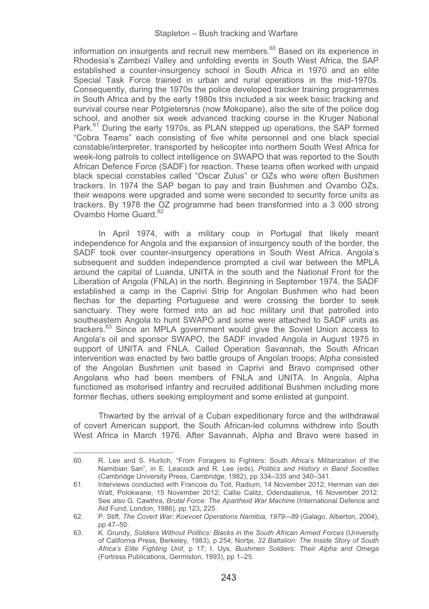information on insurgents and recruit new members. $60$  Based on its experience in Rhodesia's Zambezi Valley and unfolding events in South West Africa, the SAP established a counter-insurgency school in South Africa in 1970 and an elite Special Task Force trained in urban and rural operations in the mid-1970s. Consequently, during the 1970s the police developed tracker training programmes in South Africa and by the early 1980s this included a six week basic tracking and survival course near Potgietersrus (now Mokopane), also the site of the police dog school, and another six week advanced tracking course in the Kruger National Park.<sup>61</sup> During the early 1970s, as PLAN stepped up operations, the SAP formed "Cobra Teams" each consisting of five white personnel and one black special constable/interpreter, transported by helicopter into northern South West Africa for week-long patrols to collect intelligence on SWAPO that was reported to the South African Defence Force (SADF) for reaction. These teams often worked with unpaid black special constables called "Oscar Zulus" or OZs who were often Bushmen trackers. In 1974 the SAP began to pay and train Bushmen and Ovambo OZs, their weapons were upgraded and some were seconded to security force units as trackers. By 1978 the OZ programme had been transformed into a 3 000 strong Ovambo Home Guard<sup>62</sup>

In April 1974, with a military coup in Portugal that likely meant independence for Angola and the expansion of insurgency south of the border, the SADF took over counter-insurgency operations in South West Africa. Angola's subsequent and sudden independence prompted a civil war between the MPLA around the capital of Luanda, UNITA in the south and the National Front for the Liberation of Angola (FNLA) in the north. Beginning in September 1974, the SADF established a camp in the Caprivi Strip for Angolan Bushmen who had been flechas for the departing Portuguese and were crossing the border to seek sanctuary. They were formed into an ad hoc military unit that patrolled into southeastern Angola to hunt SWAPO and some were attached to SADF units as trackers.<sup>63</sup> Since an MPLA government would give the Soviet Union access to Angola's oil and sponsor SWAPO, the SADF invaded Angola in August 1975 in support of UNITA and FNLA. Called Operation Savannah, the South African intervention was enacted by two battle groups of Angolan troops; Alpha consisted of the Angolan Bushmen unit based in Caprivi and Bravo comprised other Angolans who had been members of FNLA and UNITA. In Angola, Alpha functioned as motorised infantry and recruited additional Bushmen including more former flechas, others seeking employment and some enlisted at gunpoint.

Thwarted by the arrival of a Cuban expeditionary force and the withdrawal of covert American support, the South African-led columns withdrew into South West Africa in March 1976. After Savannah, Alpha and Bravo were based in

<sup>60.</sup> R. Lee and S. Hurlich, "From Foragers to Fighters: South Africa's Militarization of the Namibian San", in E. Leacock and R. Lee (eds), *Politics and History in Band Societies* (Cambridge University Press, Cambridge, 1982), pp 334–335 and 340–341.

<sup>61.</sup> Interviews conducted with Francois du Toit, Radium, 14 November 2012; Herman van der Walt, Polokwane, 15 November 2012; Callie Calitz, Odendaalsrus, 16 November 2012. See also G. Cawthra, *Brutal Force: The Apartheid War Machine* (International Defence and Aid Fund, London, 1986), pp 123, 225.

<sup>62.</sup> P. Stiff, *The Covert War: Koevoet Operations Namibia, 1979*–*-89* (Galago, Alberton, 2004), pp 47–50.

<sup>63.</sup> K. Grundy, *Soldiers Without Politics: Blacks in the South African Armed Forces* (University of California Press, Berkeley, 1983), p 254; Nortje, *32 Battalion: The Inside Story of South Africa's Elite Fighting Unit*, p 17; I. Uys, *Bushmen Soldiers: Their Alpha and Omega* (Fortress Publications, Germiston, 1993), pp 1–25.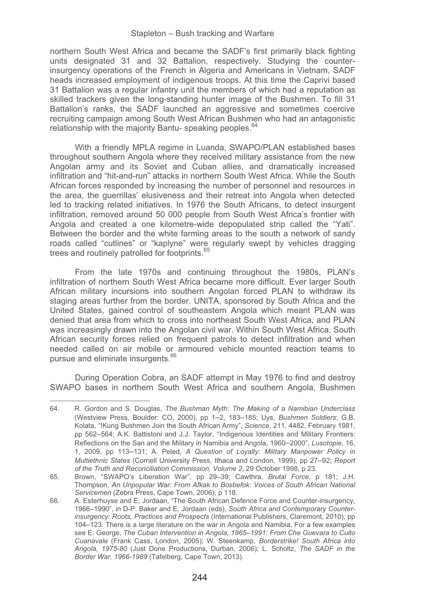northern South West Africa and became the SADF's first primarily black fighting units designated 31 and 32 Battalion, respectively. Studying the counterinsurgency operations of the French in Algeria and Americans in Vietnam, SADF heads increased employment of indigenous troops. At this time the Caprivi based 31 Battalion was a regular infantry unit the members of which had a reputation as skilled trackers given the long-standing hunter image of the Bushmen. To fill 31 Battalion's ranks, the SADF launched an aggressive and sometimes coercive recruiting campaign among South West African Bushmen who had an antagonistic relationship with the majority Bantu- speaking peoples.<sup>64</sup>

With a friendly MPLA regime in Luanda, SWAPO/PLAN established bases throughout southern Angola where they received military assistance from the new Angolan army and its Soviet and Cuban allies, and dramatically increased infiltration and "hit-and-run" attacks in northern South West Africa. While the South African forces responded by increasing the number of personnel and resources in the area, the guerrillas' elusiveness and their retreat into Angola when detected led to tracking related initiatives. In 1976 the South Africans, to detect insurgent infiltration, removed around 50 000 people from South West Africa's frontier with Angola and created a one kilometre-wide depopulated strip called the "Yati". Between the border and the white farming areas to the south a network of sandy roads called "cutlines" or "kaplyne" were regularly swept by vehicles dragging trees and routinely patrolled for footprints.<sup>65</sup>

From the late 1970s and continuing throughout the 1980s, PLAN's infiltration of northern South West Africa became more difficult. Ever larger South African military incursions into southern Angolan forced PLAN to withdraw its staging areas further from the border. UNITA, sponsored by South Africa and the United States, gained control of southeastern Angola which meant PLAN was denied that area from which to cross into northeast South West Africa, and PLAN was increasingly drawn into the Angolan civil war. Within South West Africa, South African security forces relied on frequent patrols to detect infiltration and when needed called on air mobile or armoured vehicle mounted reaction teams to pursue and eliminate insurgents.<sup>66</sup>

During Operation Cobra, an SADF attempt in May 1976 to find and destroy SWAPO bases in northern South West Africa and southern Angola, Bushmen

<sup>64.</sup> R. Gordon and S. Douglas, *The Bushman Myth: The Making of a Namibian Underclass* (Westview Press, Boulder: CO, 2000), pp 1–2, 183–185; Uys, *Bushmen Soldiers*; G.B. Kolata, "!Kung Bushmen Join the South African Army", *Science*, 211, 4482, February 1981, pp 562–564; A.K. Battistoni and J.J. Taylor, "Indigenous Identities and Military Frontiers: Reflections on the San and the Military in Namibia and Angola, 1960–2000", *Lusotopie*, 16, 1, 2009, pp 113–131; A. Peled, *A Question of Loyalty: Military Manpower Policy in Multiethnic States* (Cornell University Press, Ithaca and London, 1999), pp 27–92; *Report of the Truth and Reconciliation Commission, Volume 2*, 29 October 1998, p 23.

<sup>65.</sup> Brown, "SWAPO's Liberation War", pp 29–39; Cawthra, *Brutal Force*, p 181; J.H. Thompson, *An Unpopular War: From Afkak to Bosbefok: Voices of South African National Servicemen* (Zebra Press, Cape Town, 2006), p 118.

<sup>66.</sup> A. Esterhuyse and E, Jordaan, "The South African Defence Force and Counter-insurgency, 1966–1990", in D-P. Baker and E. Jordaan (eds), *South Africa and Contemporary Counterinsurgency: Roots, Practices and Prospects* (International Publishers, Claremont, 2010), pp 104–123. There is a large literature on the war in Angola and Namibia. For a few examples see E. George, *The Cuban Intervention in Angola, 1965*–*1991: From Che Guevara to Cuito Cuanavale* (Frank Cass, London, 2005); W. Steenkamp, *Borderstrike! South Africa into Angola, 1975-80* (Just Done Productions, Durban, 2006); L. Scholtz, *The SADF in the Border War, 1966-1989* (Tafelberg, Cape Town, 2013).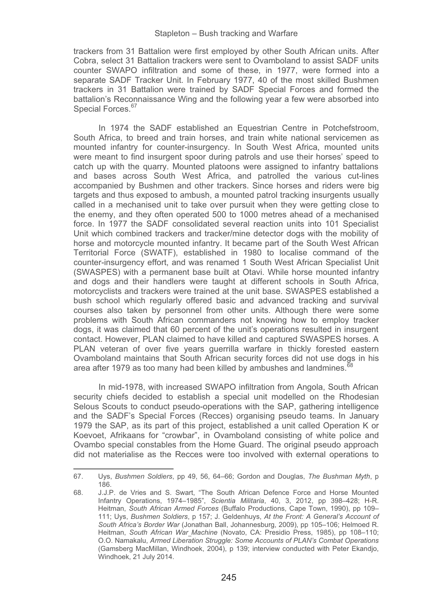trackers from 31 Battalion were first employed by other South African units. After Cobra, select 31 Battalion trackers were sent to Ovamboland to assist SADF units counter SWAPO infiltration and some of these, in 1977, were formed into a separate SADF Tracker Unit. In February 1977, 40 of the most skilled Bushmen trackers in 31 Battalion were trained by SADF Special Forces and formed the battalion's Reconnaissance Wing and the following year a few were absorbed into Special Forces.<sup>67</sup>

In 1974 the SADF established an Equestrian Centre in Potchefstroom, South Africa, to breed and train horses, and train white national servicemen as mounted infantry for counter-insurgency. In South West Africa, mounted units were meant to find insurgent spoor during patrols and use their horses' speed to catch up with the quarry. Mounted platoons were assigned to infantry battalions and bases across South West Africa, and patrolled the various cut-lines accompanied by Bushmen and other trackers. Since horses and riders were big targets and thus exposed to ambush, a mounted patrol tracking insurgents usually called in a mechanised unit to take over pursuit when they were getting close to the enemy, and they often operated 500 to 1000 metres ahead of a mechanised force. In 1977 the SADF consolidated several reaction units into 101 Specialist Unit which combined trackers and tracker/mine detector dogs with the mobility of horse and motorcycle mounted infantry. It became part of the South West African Territorial Force (SWATF), established in 1980 to localise command of the counter-insurgency effort, and was renamed 1 South West African Specialist Unit (SWASPES) with a permanent base built at Otavi. While horse mounted infantry and dogs and their handlers were taught at different schools in South Africa, motorcyclists and trackers were trained at the unit base. SWASPES established a bush school which regularly offered basic and advanced tracking and survival courses also taken by personnel from other units. Although there were some problems with South African commanders not knowing how to employ tracker dogs, it was claimed that 60 percent of the unit's operations resulted in insurgent contact. However, PLAN claimed to have killed and captured SWASPES horses. A PLAN veteran of over five years guerrilla warfare in thickly forested eastern Ovamboland maintains that South African security forces did not use dogs in his area after 1979 as too many had been killed by ambushes and landmines.<sup>68</sup>

In mid-1978, with increased SWAPO infiltration from Angola, South African security chiefs decided to establish a special unit modelled on the Rhodesian Selous Scouts to conduct pseudo-operations with the SAP, gathering intelligence and the SADF's Special Forces (Recces) organising pseudo teams. In January 1979 the SAP, as its part of this project, established a unit called Operation K or Koevoet, Afrikaans for "crowbar", in Ovamboland consisting of white police and Ovambo special constables from the Home Guard. The original pseudo approach did not materialise as the Recces were too involved with external operations to

<sup>67.</sup> Uys, *Bushmen Soldiers*, pp 49, 56, 64–66; Gordon and Douglas, *The Bushman Myth*, p 186.

<sup>68.</sup> J.J.P. de Vries and S. Swart, "The South African Defence Force and Horse Mounted Infantry Operations, 1974–1985", *Scientia Militaria*, 40, 3, 2012, pp 398–428; H-R. Heitman, *South African Armed Forces* (Buffalo Productions, Cape Town, 1990), pp 109– 111; Uys, *Bushmen Soldiers*, p 157; J. Geldenhuys, *At the Front: A General's Account of South Africa's Border War* (Jonathan Ball, Johannesburg, 2009), pp 105–106; Helmoed R. Heitman, *South African War Machine* (Novato, CA: Presidio Press, 1985), pp 108–110; O.O. Namakalu, *Armed Liberation Struggle: Some Accounts of PLAN's Combat Operations* (Gamsberg MacMillan, Windhoek, 2004), p 139; interview conducted with Peter Ekandjo, Windhoek, 21 July 2014.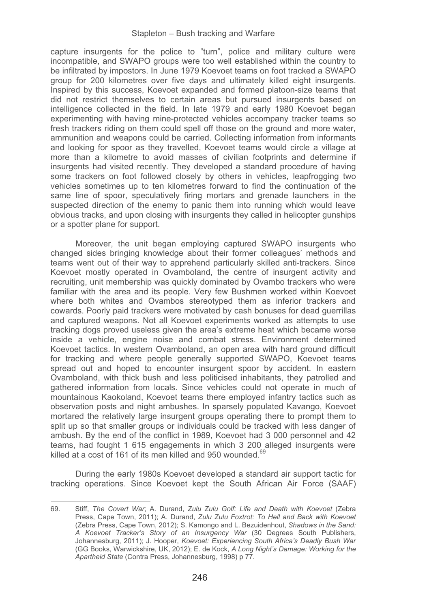capture insurgents for the police to "turn", police and military culture were incompatible, and SWAPO groups were too well established within the country to be infiltrated by impostors. In June 1979 Koevoet teams on foot tracked a SWAPO group for 200 kilometres over five days and ultimately killed eight insurgents. Inspired by this success, Koevoet expanded and formed platoon-size teams that did not restrict themselves to certain areas but pursued insurgents based on intelligence collected in the field. In late 1979 and early 1980 Koevoet began experimenting with having mine-protected vehicles accompany tracker teams so fresh trackers riding on them could spell off those on the ground and more water, ammunition and weapons could be carried. Collecting information from informants and looking for spoor as they travelled, Koevoet teams would circle a village at more than a kilometre to avoid masses of civilian footprints and determine if insurgents had visited recently. They developed a standard procedure of having some trackers on foot followed closely by others in vehicles, leapfrogging two vehicles sometimes up to ten kilometres forward to find the continuation of the same line of spoor, speculatively firing mortars and grenade launchers in the suspected direction of the enemy to panic them into running which would leave obvious tracks, and upon closing with insurgents they called in helicopter gunships or a spotter plane for support.

Moreover, the unit began employing captured SWAPO insurgents who changed sides bringing knowledge about their former colleagues' methods and teams went out of their way to apprehend particularly skilled anti-trackers. Since Koevoet mostly operated in Ovamboland, the centre of insurgent activity and recruiting, unit membership was quickly dominated by Ovambo trackers who were familiar with the area and its people. Very few Bushmen worked within Koevoet where both whites and Ovambos stereotyped them as inferior trackers and cowards. Poorly paid trackers were motivated by cash bonuses for dead guerrillas and captured weapons. Not all Koevoet experiments worked as attempts to use tracking dogs proved useless given the area's extreme heat which became worse inside a vehicle, engine noise and combat stress. Environment determined Koevoet tactics. In western Ovamboland, an open area with hard ground difficult for tracking and where people generally supported SWAPO, Koevoet teams spread out and hoped to encounter insurgent spoor by accident. In eastern Ovamboland, with thick bush and less politicised inhabitants, they patrolled and gathered information from locals. Since vehicles could not operate in much of mountainous Kaokoland, Koevoet teams there employed infantry tactics such as observation posts and night ambushes. In sparsely populated Kavango, Koevoet mortared the relatively large insurgent groups operating there to prompt them to split up so that smaller groups or individuals could be tracked with less danger of ambush. By the end of the conflict in 1989, Koevoet had 3 000 personnel and 42 teams, had fought 1 615 engagements in which 3 200 alleged insurgents were killed at a cost of 161 of its men killed and 950 wounded.<sup>69</sup>

During the early 1980s Koevoet developed a standard air support tactic for tracking operations. Since Koevoet kept the South African Air Force (SAAF)

<sup>69.</sup> Stiff, *The Covert War*; A. Durand, *Zulu Zulu Golf: Life and Death with Koevoet* (Zebra Press, Cape Town, 2011); A. Durand, *Zulu Zulu Foxtrot: To Hell and Back with Koevoet* (Zebra Press, Cape Town, 2012); S. Kamongo and L. Bezuidenhout, *Shadows in the Sand: A Koevoet Tracker's Story of an Insurgency War* (30 Degrees South Publishers, Johannesburg, 2011); J. Hooper, *Koevoet: Experiencing South Africa's Deadly Bush War* (GG Books, Warwickshire, UK, 2012); E. de Kock, *A Long Night's Damage: Working for the Apartheid State* (Contra Press, Johannesburg, 1998) p 77.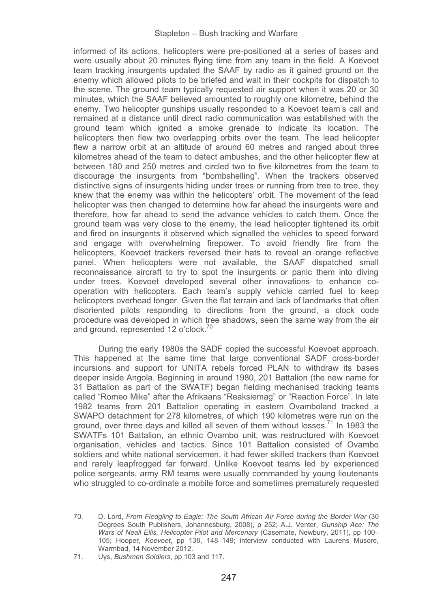informed of its actions, helicopters were pre-positioned at a series of bases and were usually about 20 minutes flying time from any team in the field. A Koevoet team tracking insurgents updated the SAAF by radio as it gained ground on the enemy which allowed pilots to be briefed and wait in their cockpits for dispatch to the scene. The ground team typically requested air support when it was 20 or 30 minutes, which the SAAF believed amounted to roughly one kilometre, behind the enemy. Two helicopter gunships usually responded to a Koevoet team's call and remained at a distance until direct radio communication was established with the ground team which ignited a smoke grenade to indicate its location. The helicopters then flew two overlapping orbits over the team. The lead helicopter flew a narrow orbit at an altitude of around 60 metres and ranged about three kilometres ahead of the team to detect ambushes, and the other helicopter flew at between 180 and 250 metres and circled two to five kilometres from the team to discourage the insurgents from "bombshelling". When the trackers observed distinctive signs of insurgents hiding under trees or running from tree to tree, they knew that the enemy was within the helicopters' orbit. The movement of the lead helicopter was then changed to determine how far ahead the insurgents were and therefore, how far ahead to send the advance vehicles to catch them. Once the ground team was very close to the enemy, the lead helicopter tightened its orbit and fired on insurgents it observed which signalled the vehicles to speed forward and engage with overwhelming firepower. To avoid friendly fire from the helicopters, Koevoet trackers reversed their hats to reveal an orange reflective panel. When helicopters were not available, the SAAF dispatched small reconnaissance aircraft to try to spot the insurgents or panic them into diving under trees. Koevoet developed several other innovations to enhance cooperation with helicopters. Each team's supply vehicle carried fuel to keep helicopters overhead longer. Given the flat terrain and lack of landmarks that often disoriented pilots responding to directions from the ground, a clock code procedure was developed in which tree shadows, seen the same way from the air and ground, represented 12 o'clock.<sup>70</sup>

During the early 1980s the SADF copied the successful Koevoet approach. This happened at the same time that large conventional SADF cross-border incursions and support for UNITA rebels forced PLAN to withdraw its bases deeper inside Angola. Beginning in around 1980, 201 Battalion (the new name for 31 Battalion as part of the SWATF) began fielding mechanised tracking teams called "Romeo Mike" after the Afrikaans "Reaksiemag" or "Reaction Force". In late 1982 teams from 201 Battalion operating in eastern Ovamboland tracked a SWAPO detachment for 278 kilometres, of which 190 kilometres were run on the ground, over three days and killed all seven of them without losses.71 In 1983 the SWATFs 101 Battalion, an ethnic Ovambo unit, was restructured with Koevoet organisation, vehicles and tactics. Since 101 Battalion consisted of Ovambo soldiers and white national servicemen, it had fewer skilled trackers than Koevoet and rarely leapfrogged far forward. Unlike Koevoet teams led by experienced police sergeants, army RM teams were usually commanded by young lieutenants who struggled to co-ordinate a mobile force and sometimes prematurely requested

70. D. Lord, *From Fledgling to Eagle: The South African Air Force during the Border War* (30 Degrees South Publishers, Johannesburg, 2008), p 252; A.J. Venter, *Gunship Ace: The Wars of Neall Ellis, Helicopter Pilot and Mercenary* (Casemate, Newbury, 2011), pp 100– 105; Hooper, *Koevoet*, pp 138, 148–149; interview conducted with Laurens Musore, Warmbad, 14 November 2012.

<sup>71.</sup> Uys, *Bushmen Soldiers*, pp 103 and 117.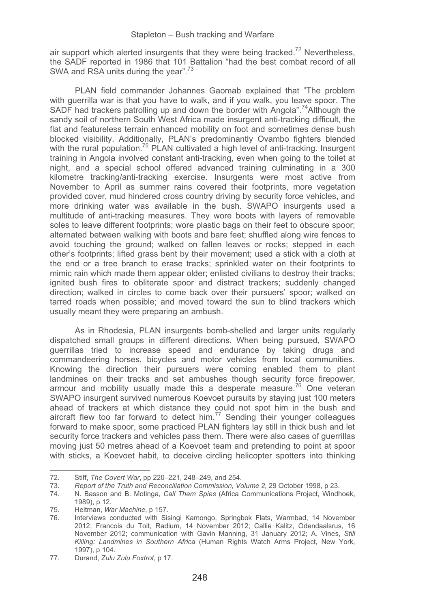air support which alerted insurgents that they were being tracked.<sup>72</sup> Nevertheless, the SADF reported in 1986 that 101 Battalion "had the best combat record of all SWA and RSA units during the vear".<sup>73</sup>

PLAN field commander Johannes Gaomab explained that "The problem with guerrilla war is that you have to walk, and if you walk, you leave spoor. The SADF had trackers patrolling up and down the border with Angola".<sup>74</sup>Although the sandy soil of northern South West Africa made insurgent anti-tracking difficult, the flat and featureless terrain enhanced mobility on foot and sometimes dense bush blocked visibility. Additionally, PLAN's predominantly Ovambo fighters blended with the rural population.<sup>75</sup> PLAN cultivated a high level of anti-tracking. Insurgent training in Angola involved constant anti-tracking, even when going to the toilet at night, and a special school offered advanced training culminating in a 300 kilometre tracking/anti-tracking exercise. Insurgents were most active from November to April as summer rains covered their footprints, more vegetation provided cover, mud hindered cross country driving by security force vehicles, and more drinking water was available in the bush. SWAPO insurgents used a multitude of anti-tracking measures. They wore boots with layers of removable soles to leave different footprints; wore plastic bags on their feet to obscure spoor; alternated between walking with boots and bare feet; shuffled along wire fences to avoid touching the ground; walked on fallen leaves or rocks; stepped in each other's footprints; lifted grass bent by their movement; used a stick with a cloth at the end or a tree branch to erase tracks; sprinkled water on their footprints to mimic rain which made them appear older; enlisted civilians to destroy their tracks; ignited bush fires to obliterate spoor and distract trackers; suddenly changed direction; walked in circles to come back over their pursuers' spoor; walked on tarred roads when possible; and moved toward the sun to blind trackers which usually meant they were preparing an ambush.

As in Rhodesia, PLAN insurgents bomb-shelled and larger units regularly dispatched small groups in different directions. When being pursued, SWAPO guerrillas tried to increase speed and endurance by taking drugs and commandeering horses, bicycles and motor vehicles from local communities. Knowing the direction their pursuers were coming enabled them to plant landmines on their tracks and set ambushes though security force firepower, armour and mobility usually made this a desperate measure.<sup>76</sup> One veteran SWAPO insurgent survived numerous Koevoet pursuits by staying just 100 meters ahead of trackers at which distance they could not spot him in the bush and aircraft flew too far forward to detect him.<sup>77</sup> Sending their younger colleagues forward to make spoor, some practiced PLAN fighters lay still in thick bush and let security force trackers and vehicles pass them. There were also cases of guerrillas moving just 50 metres ahead of a Koevoet team and pretending to point at spoor with sticks, a Koevoet habit, to deceive circling helicopter spotters into thinking

<sup>-</sup>------72. Stiff, *The Covert War*, pp 220–221, 248–249, and 254.

<sup>73</sup>*. Report of the Truth and Reconciliation Commission, Volume 2,* 29 October 1998, p 23.

<sup>74.</sup> N. Basson and B. Motinga, *Call Them Spies* (Africa Communications Project, Windhoek, 1989), p 12.

<sup>75.</sup> Heitman, *War Machine*, p 157.

<sup>76.</sup> Interviews conducted with Sisingi Kamongo, Springbok Flats, Warmbad, 14 November 2012; Francois du Toit, Radium, 14 November 2012; Callie Kalitz, Odendaalsrus, 16 November 2012; communication with Gavin Manning, 31 January 2012; A. Vines, *Still Killing: Landmines in Southern Africa* (Human Rights Watch Arms Project, New York, 1997), p 104.

<sup>77.</sup> Durand, *Zulu Zulu Foxtrot*, p 17.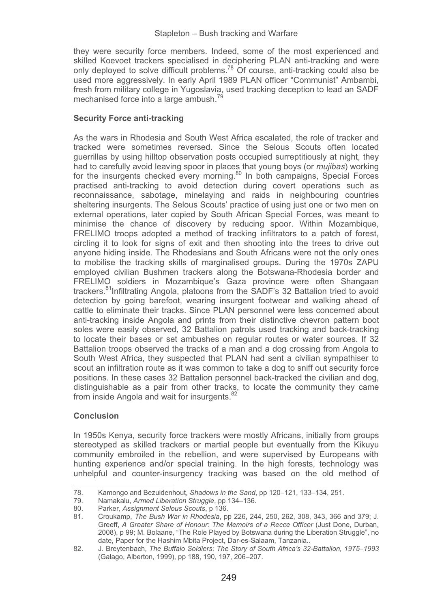they were security force members. Indeed, some of the most experienced and skilled Koevoet trackers specialised in deciphering PLAN anti-tracking and were only deployed to solve difficult problems.78 Of course, anti-tracking could also be used more aggressively. In early April 1989 PLAN officer "Communist" Ambambi, fresh from military college in Yugoslavia, used tracking deception to lead an SADF mechanised force into a large ambush.<sup>7</sup>

## **Security Force anti-tracking**

As the wars in Rhodesia and South West Africa escalated, the role of tracker and tracked were sometimes reversed. Since the Selous Scouts often located guerrillas by using hilltop observation posts occupied surreptitiously at night, they had to carefully avoid leaving spoor in places that young boys (or *mujibas*) working for the insurgents checked every morning.<sup>80</sup> In both campaigns, Special Forces practised anti-tracking to avoid detection during covert operations such as reconnaissance, sabotage, minelaying and raids in neighbouring countries sheltering insurgents. The Selous Scouts' practice of using just one or two men on external operations, later copied by South African Special Forces, was meant to minimise the chance of discovery by reducing spoor. Within Mozambique, FRELIMO troops adopted a method of tracking infiltrators to a patch of forest, circling it to look for signs of exit and then shooting into the trees to drive out anyone hiding inside. The Rhodesians and South Africans were not the only ones to mobilise the tracking skills of marginalised groups. During the 1970s ZAPU employed civilian Bushmen trackers along the Botswana-Rhodesia border and FRELIMO soldiers in Mozambique's Gaza province were often Shangaan trackers.<sup>81</sup>Infiltrating Angola, platoons from the SADF's 32 Battalion tried to avoid detection by going barefoot, wearing insurgent footwear and walking ahead of cattle to eliminate their tracks. Since PLAN personnel were less concerned about anti-tracking inside Angola and prints from their distinctive chevron pattern boot soles were easily observed, 32 Battalion patrols used tracking and back-tracking to locate their bases or set ambushes on regular routes or water sources. If 32 Battalion troops observed the tracks of a man and a dog crossing from Angola to South West Africa, they suspected that PLAN had sent a civilian sympathiser to scout an infiltration route as it was common to take a dog to sniff out security force positions. In these cases 32 Battalion personnel back-tracked the civilian and dog, distinguishable as a pair from other tracks, to locate the community they came from inside Angola and wait for insurgents.<sup>82</sup>

# **Conclusion**

--------------------------------------------------

In 1950s Kenya, security force trackers were mostly Africans, initially from groups stereotyped as skilled trackers or martial people but eventually from the Kikuyu community embroiled in the rebellion, and were supervised by Europeans with hunting experience and/or special training. In the high forests, technology was unhelpful and counter-insurgency tracking was based on the old method of

----

<sup>78.</sup> Kamongo and Bezuidenhout, *Shadows in the Sand*, pp 120–121, 133–134, 251.

<sup>-</sup>----79. Namakalu, *Armed Liberation Struggle*, pp 134–136.

<sup>80.</sup> Parker, *Assignment Selous Scouts*, p 136.

<sup>81.</sup> Croukamp, *The Bush War in Rhodesia*, pp 226, 244, 250, 262, 308, 343, 366 and 379; J. Greeff, *A Greater Share of Honour: The Memoirs of a Recce Officer* (Just Done, Durban, 2008), p 99; M. Bolaane, "The Role Played by Botswana during the Liberation Struggle", no date, Paper for the Hashim Mbita Project, Dar-es-Salaam, Tanzania..

<sup>82.</sup> J. Breytenbach, *The Buffalo Soldiers: The Story of South Africa's 32-Battalion, 1975–1993* (Galago, Alberton, 1999), pp 188, 190, 197, 206*–*207.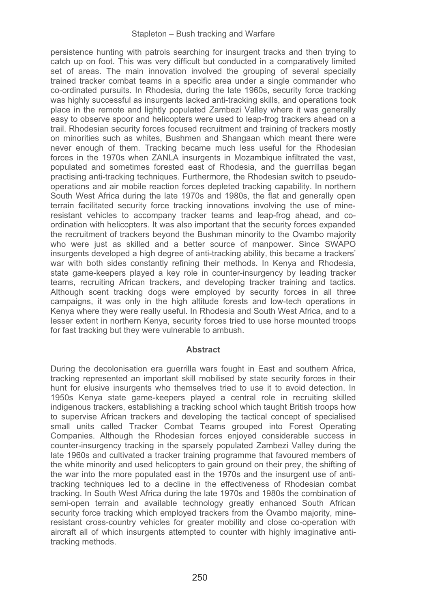persistence hunting with patrols searching for insurgent tracks and then trying to catch up on foot. This was very difficult but conducted in a comparatively limited set of areas. The main innovation involved the grouping of several specially trained tracker combat teams in a specific area under a single commander who co-ordinated pursuits. In Rhodesia, during the late 1960s, security force tracking was highly successful as insurgents lacked anti-tracking skills, and operations took place in the remote and lightly populated Zambezi Valley where it was generally easy to observe spoor and helicopters were used to leap-frog trackers ahead on a trail. Rhodesian security forces focused recruitment and training of trackers mostly on minorities such as whites, Bushmen and Shangaan which meant there were never enough of them. Tracking became much less useful for the Rhodesian forces in the 1970s when ZANLA insurgents in Mozambique infiltrated the vast, populated and sometimes forested east of Rhodesia, and the guerrillas began practising anti-tracking techniques. Furthermore, the Rhodesian switch to pseudooperations and air mobile reaction forces depleted tracking capability. In northern South West Africa during the late 1970s and 1980s, the flat and generally open terrain facilitated security force tracking innovations involving the use of mineresistant vehicles to accompany tracker teams and leap-frog ahead, and coordination with helicopters. It was also important that the security forces expanded the recruitment of trackers beyond the Bushman minority to the Ovambo majority who were just as skilled and a better source of manpower. Since SWAPO insurgents developed a high degree of anti-tracking ability, this became a trackers' war with both sides constantly refining their methods. In Kenya and Rhodesia, state game-keepers played a key role in counter-insurgency by leading tracker teams, recruiting African trackers, and developing tracker training and tactics. Although scent tracking dogs were employed by security forces in all three campaigns, it was only in the high altitude forests and low-tech operations in Kenya where they were really useful. In Rhodesia and South West Africa, and to a lesser extent in northern Kenya, security forces tried to use horse mounted troops for fast tracking but they were vulnerable to ambush.

#### **Abstract**

During the decolonisation era guerrilla wars fought in East and southern Africa, tracking represented an important skill mobilised by state security forces in their hunt for elusive insurgents who themselves tried to use it to avoid detection. In 1950s Kenya state game-keepers played a central role in recruiting skilled indigenous trackers, establishing a tracking school which taught British troops how to supervise African trackers and developing the tactical concept of specialised small units called Tracker Combat Teams grouped into Forest Operating Companies. Although the Rhodesian forces enjoyed considerable success in counter-insurgency tracking in the sparsely populated Zambezi Valley during the late 1960s and cultivated a tracker training programme that favoured members of the white minority and used helicopters to gain ground on their prey, the shifting of the war into the more populated east in the 1970s and the insurgent use of antitracking techniques led to a decline in the effectiveness of Rhodesian combat tracking. In South West Africa during the late 1970s and 1980s the combination of semi-open terrain and available technology greatly enhanced South African security force tracking which employed trackers from the Ovambo majority, mineresistant cross-country vehicles for greater mobility and close co-operation with aircraft all of which insurgents attempted to counter with highly imaginative antitracking methods.